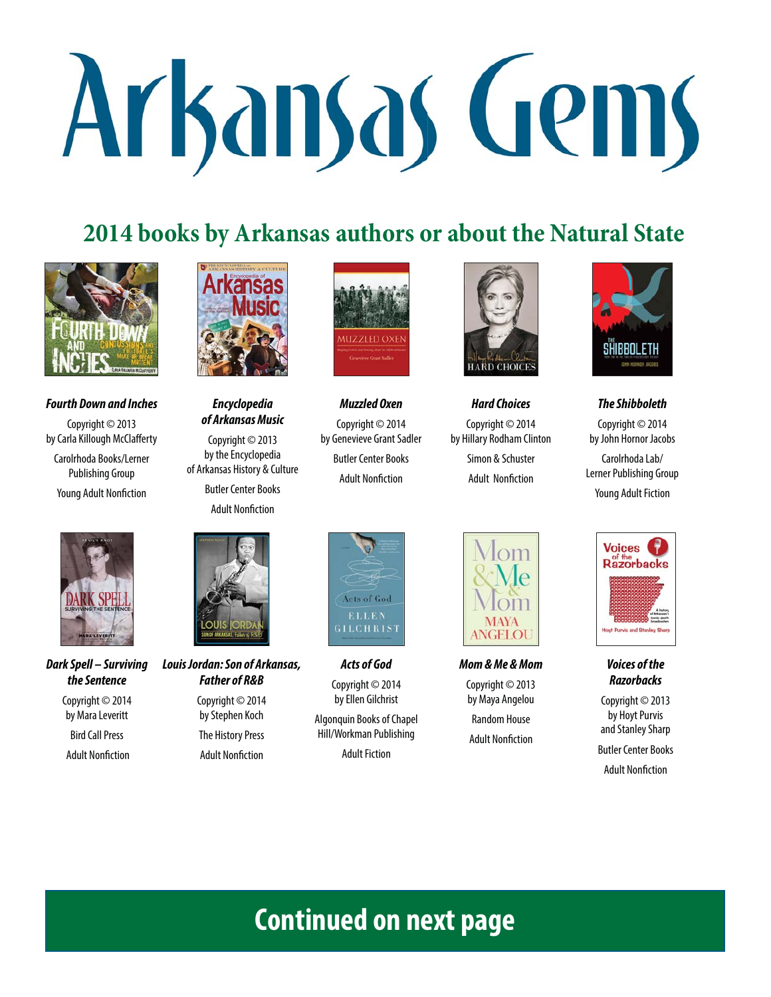# Arkansas Gems

## **2014 books by Arkansas authors or about the Natural State**



#### **Fourth Down and Inches**

Copyright © 2013 by Carla Killough McClafferty Carolrhoda Books/Lerner Publishing Group Young Adult Nonfiction



**Dark Spell – Surviving the Sentence**

Copyright © 2014 by Mara Leveritt Bird Call Press

**Adult Nonfiction** 



## **Encyclopedia of Arkansas Music**

Copyright © 2013 by the Encyclopedia of Arkansas History & Culture

> Butler Center Books **Adult Nonfiction**



#### **Louis Jordan: Son of Arkansas, Father of R&B**

Copyright © 2014 by Stephen Koch The History Press **Adult Nonfiction** 



**Muzzled Oxen** Copyright © 2014 by Genevieve Grant Sadler Butler Center Books **Adult Nonfiction** 

**Acts of God** Copyright © 2014 by Ellen Gilchrist Algonquin Books of Chapel Hill/Workman Publishing Adult Fiction

**GILCHRIST** 

Acts of God ELLEN



**Hard Choices**

Copyright © 2014 by Hillary Rodham Clinton Simon & Schuster **Adult Nonfiction** 



**The Shibboleth**

Copyright © 2014 by John Hornor Jacobs Carolrhoda Lab/ Lerner Publishing Group Young Adult Fiction



**Mom & Me & Mom**

Copyright © 2013 by Maya Angelou Random House

**Adult Nonfiction** 



#### **Voices of the Razorbacks**

Copyright © 2013 by Hoyt Purvis and Stanley Sharp Butler Center Books

**Adult Nonfiction** 

**Continued on next page**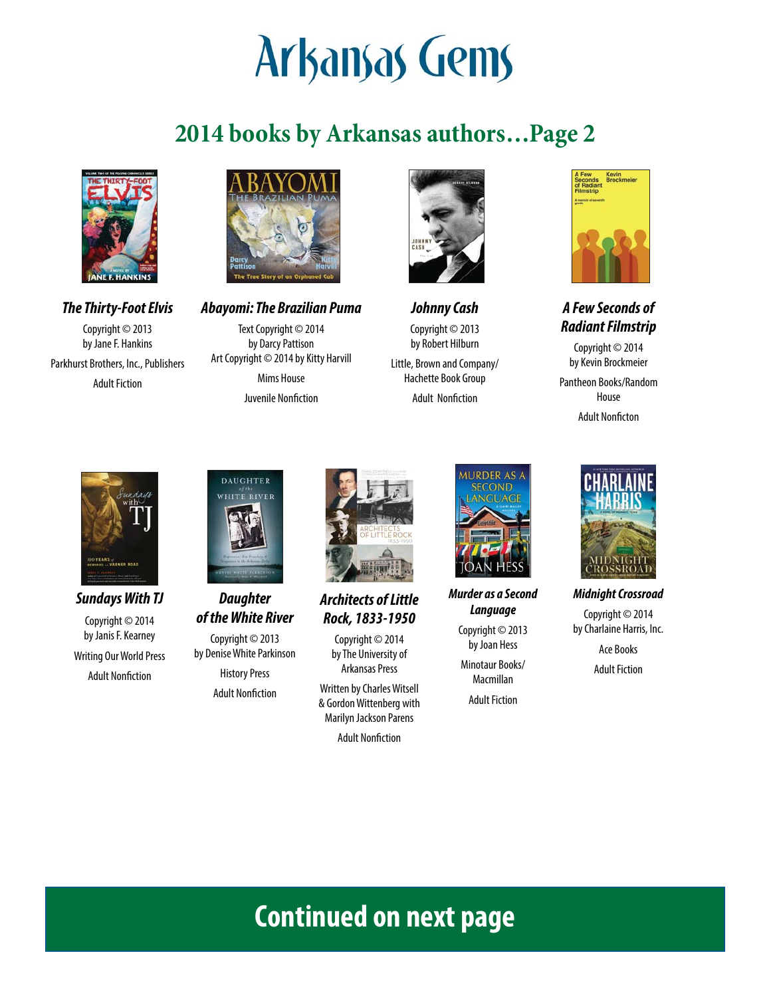# Arkansas Gems

# **2014 books by Arkansas authors…Page 2**



**The Thirty-Foot Elvis** Copyright © 2013 by Jane F. Hankins Parkhurst Brothers, Inc., Publishers Adult Fiction



**Abayomi: The Brazilian Puma** Text Copyright © 2014 by Darcy Pattison Art Copyright © 2014 by Kitty Harvill Mims House Juvenile Nonfiction



**Johnny Cash** Copyright © 2013 by Robert Hilburn Little, Brown and Company/

Hachette Book Group **Adult Nonfiction** 



**A Few Seconds of Radiant Filmstrip**

Copyright © 2014 by Kevin Brockmeier

Pantheon Books/Random House

**Adult Nonficton** 



**Sundays With TJ** Copyright © 2014 by Janis F. Kearney Writing Our World Press **Adult Nonfiction** 



**Daughter of the White River**

Copyright © 2013 by Denise White Parkinson

History Press **Adult Nonfiction** 



**Architects of Little Rock, 1833-1950**

Copyright © 2014 by The University of Arkansas Press

Written by Charles Witsell & Gordon Wittenberg with Marilyn Jackson Parens

**Adult Nonfiction** 



**Murder as a Second Language**

> Copyright © 2013 by Joan Hess

Minotaur Books/ Macmillan

Adult Fiction



**Midnight Crossroad** Copyright © 2014 by Charlaine Harris, Inc. Ace Books Adult Fiction

# **Continued on next page**